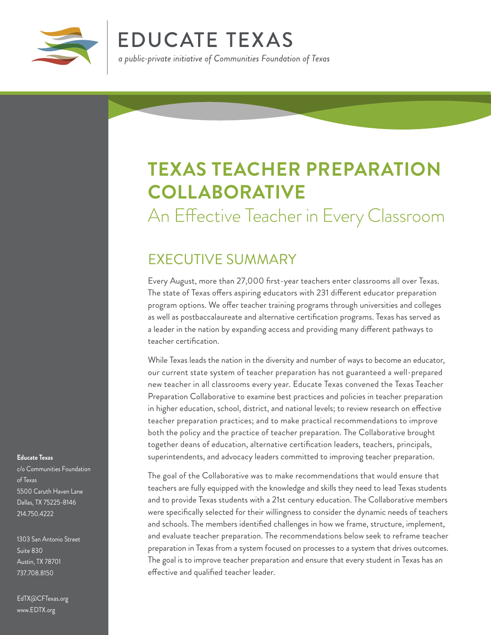

# EDUCATE TEXAS<br>a public-private initiative of Communities Foundation of Texas

# **TEXAS TEACHER PREPARATION COLLABORATIVE**

An Effective Teacher in Every Classroom

## EXECUTIVE SUMMARY

Every August, more than 27,000 first-year teachers enter classrooms all over Texas. The state of Texas offers aspiring educators with 231 different educator preparation program options. We offer teacher training programs through universities and colleges as well as postbaccalaureate and alternative certification programs. Texas has served as a leader in the nation by expanding access and providing many different pathways to teacher certification.

While Texas leads the nation in the diversity and number of ways to become an educator, our current state system of teacher preparation has not guaranteed a well-prepared new teacher in all classrooms every year. Educate Texas convened the Texas Teacher Preparation Collaborative to examine best practices and policies in teacher preparation in higher education, school, district, and national levels; to review research on effective teacher preparation practices; and to make practical recommendations to improve both the policy and the practice of teacher preparation. The Collaborative brought together deans of education, alternative certification leaders, teachers, principals, superintendents, and advocacy leaders committed to improving teacher preparation.

The goal of the Collaborative was to make recommendations that would ensure that teachers are fully equipped with the knowledge and skills they need to lead Texas students and to provide Texas students with a 21st century education. The Collaborative members were specifically selected for their willingness to consider the dynamic needs of teachers and schools. The members identified challenges in how we frame, structure, implement, and evaluate teacher preparation. The recommendations below seek to reframe teacher preparation in Texas from a system focused on processes to a system that drives outcomes. The goal is to improve teacher preparation and ensure that every student in Texas has an effective and qualified teacher leader.

#### **Educate Texas**

c/o Communities Foundation of Texas 5500 Caruth Haven Lane Dallas, TX 75225-8146 214.750.4222

1303 San Antonio Street Suite 830 Austin, TX 78701 737.708.8150

EdTX@CFTexas.org www.EDTX.org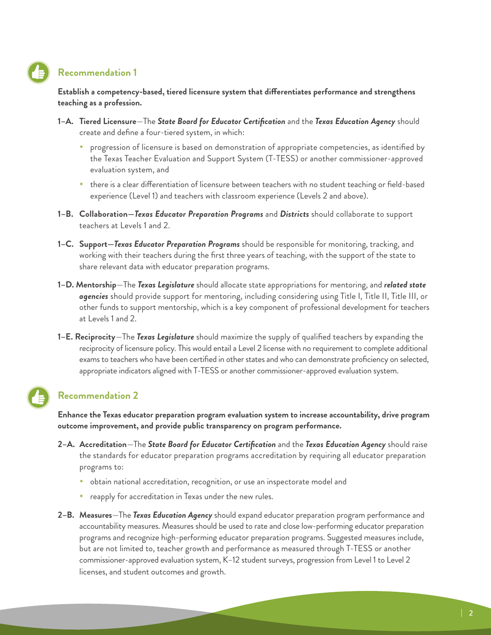### **Recommendation 1**

**Establish a competency-based, tiered licensure system that differentiates performance and strengthens teaching as a profession.**

- **1–A. Tiered Licensure**—The *State Board for Educator Certification* and the *Texas Education Agency* should create and define a four-tiered system, in which:
	- progression of licensure is based on demonstration of appropriate competencies, as identified by the Texas Teacher Evaluation and Support System (T-TESS) or another commissioner-approved evaluation system, and
	- there is a clear differentiation of licensure between teachers with no student teaching or field-based experience (Level 1) and teachers with classroom experience (Levels 2 and above).
- **1–B. Collaboration—***Texas Educator Preparation Programs* and *Districts* should collaborate to support teachers at Levels 1 and 2.
- **1–C. Support—***Texas Educator Preparation Programs* should be responsible for monitoring, tracking, and working with their teachers during the first three years of teaching, with the support of the state to share relevant data with educator preparation programs.
- **1–D. Mentorship**—The *Texas Legislature* should allocate state appropriations for mentoring, and *related state agencies* should provide support for mentoring, including considering using Title I, Title II, Title III, or other funds to support mentorship, which is a key component of professional development for teachers at Levels 1 and 2.
- **1–E. Reciprocity**—The *Texas Legislature* should maximize the supply of qualified teachers by expanding the reciprocity of licensure policy. This would entail a Level 2 license with no requirement to complete additional exams to teachers who have been certified in other states and who can demonstrate proficiency on selected, appropriate indicators aligned with T-TESS or another commissioner-approved evaluation system.

#### **Recommendation 2**

**Enhance the Texas educator preparation program evaluation system to increase accountability, drive program outcome improvement, and provide public transparency on program performance.**

- **2–A. Accreditation**—The *State Board for Educator Certification* and the *Texas Education Agency* should raise the standards for educator preparation programs accreditation by requiring all educator preparation programs to:
	- $\bullet$  obtain national accreditation, recognition, or use an inspectorate model and
	- reapply for accreditation in Texas under the new rules.
- **2–B. Measures**—The *Texas Education Agency* should expand educator preparation program performance and accountability measures. Measures should be used to rate and close low-performing educator preparation programs and recognize high-performing educator preparation programs. Suggested measures include, but are not limited to, teacher growth and performance as measured through T-TESS or another commissioner-approved evaluation system, K–12 student surveys, progression from Level 1 to Level 2 licenses, and student outcomes and growth.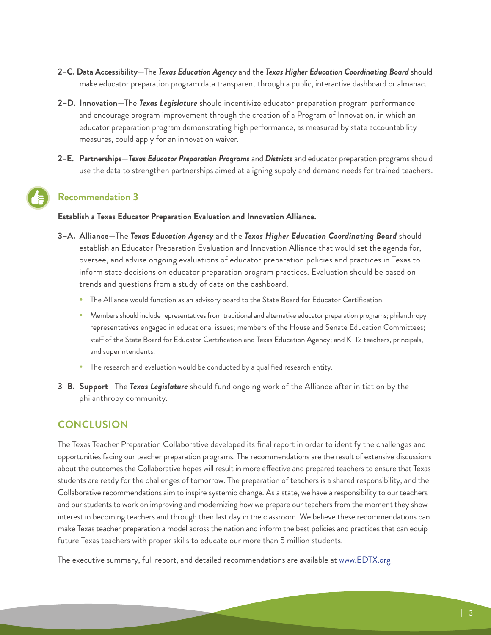- **2–C. Data Accessibility**—The *Texas Education Agency* and the *Texas Higher Education Coordinating Board* should make educator preparation program data transparent through a public, interactive dashboard or almanac.
- **2–D. Innovation**—The *Texas Legislature* should incentivize educator preparation program performance and encourage program improvement through the creation of a Program of Innovation, in which an educator preparation program demonstrating high performance, as measured by state accountability measures, could apply for an innovation waiver.
- **2–E. Partnerships**—*Texas Educator Preparation Programs* and *Districts* and educator preparation programs should use the data to strengthen partnerships aimed at aligning supply and demand needs for trained teachers.

#### **Recommendation 3**

#### **Establish a Texas Educator Preparation Evaluation and Innovation Alliance.**

- **3–A. Alliance**—The *Texas Education Agency* and the *Texas Higher Education Coordinating Board* should establish an Educator Preparation Evaluation and Innovation Alliance that would set the agenda for, oversee, and advise ongoing evaluations of educator preparation policies and practices in Texas to inform state decisions on educator preparation program practices. Evaluation should be based on trends and questions from a study of data on the dashboard.
	- **•** The Alliance would function as an advisory board to the State Board for Educator Certification.
	- Members should include representatives from traditional and alternative educator preparation programs; philanthropy representatives engaged in educational issues; members of the House and Senate Education Committees; staff of the State Board for Educator Certification and Texas Education Agency; and K–12 teachers, principals, and superintendents.
	- The research and evaluation would be conducted by a qualified research entity.
- **3–B. Support**—The *Texas Legislature* should fund ongoing work of the Alliance after initiation by the philanthropy community.

#### **CONCLUSION**

The Texas Teacher Preparation Collaborative developed its final report in order to identify the challenges and opportunities facing our teacher preparation programs. The recommendations are the result of extensive discussions about the outcomes the Collaborative hopes will result in more effective and prepared teachers to ensure that Texas students are ready for the challenges of tomorrow. The preparation of teachers is a shared responsibility, and the Collaborative recommendations aim to inspire systemic change. As a state, we have a responsibility to our teachers and our students to work on improving and modernizing how we prepare our teachers from the moment they show interest in becoming teachers and through their last day in the classroom. We believe these recommendations can make Texas teacher preparation a model across the nation and inform the best policies and practices that can equip future Texas teachers with proper skills to educate our more than 5 million students.

The executive summary, full report, and detailed recommendations are available at [www.EDTX.org](http://www.EDTX.org)